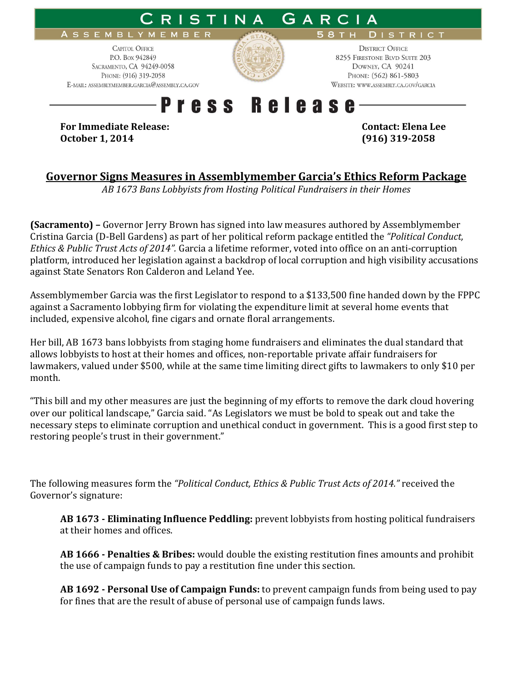

## **Governor Signs Measures in Assemblymember Garcia's Ethics Reform Package**

*AB 1673 Bans Lobbyists from Hosting Political Fundraisers in their Homes* 

**(Sacramento)** – Governor Jerry Brown has signed into law measures authored by Assemblymember Cristina Garcia (D-Bell Gardens) as part of her political reform package entitled the *"Political Conduct, Ethics & Public Trust Acts of 2014".* Garcia a lifetime reformer, voted into office on an anti-corruption platform, introduced her legislation against a backdrop of local corruption and high visibility accusations against State Senators Ron Calderon and Leland Yee.

Assemblymember Garcia was the first Legislator to respond to a \$133,500 fine handed down by the FPPC against a Sacramento lobbying firm for violating the expenditure limit at several home events that included, expensive alcohol, fine cigars and ornate floral arrangements.

Her bill, AB 1673 bans lobbyists from staging home fundraisers and eliminates the dual standard that allows lobbyists to host at their homes and offices, non-reportable private affair fundraisers for lawmakers, valued under \$500, while at the same time limiting direct gifts to lawmakers to only \$10 per month.

"This bill and my other measures are just the beginning of my efforts to remove the dark cloud hovering over our political landscape," Garcia said. "As Legislators we must be bold to speak out and take the necessary steps to eliminate corruption and unethical conduct in government. This is a good first step to restoring people's trust in their government."

The following measures form the *"Political Conduct, Ethics & Public Trust Acts of 2014."* received the Governor's signature:

**AB 1673 - Eliminating Influence Peddling:** prevent lobbyists from hosting political fundraisers at their homes and offices.

**AB 1666 - Penalties & Bribes:** would double the existing restitution fines amounts and prohibit the use of campaign funds to pay a restitution fine under this section.

**AB 1692 - Personal Use of Campaign Funds:** to prevent campaign funds from being used to pay for fines that are the result of abuse of personal use of campaign funds laws.